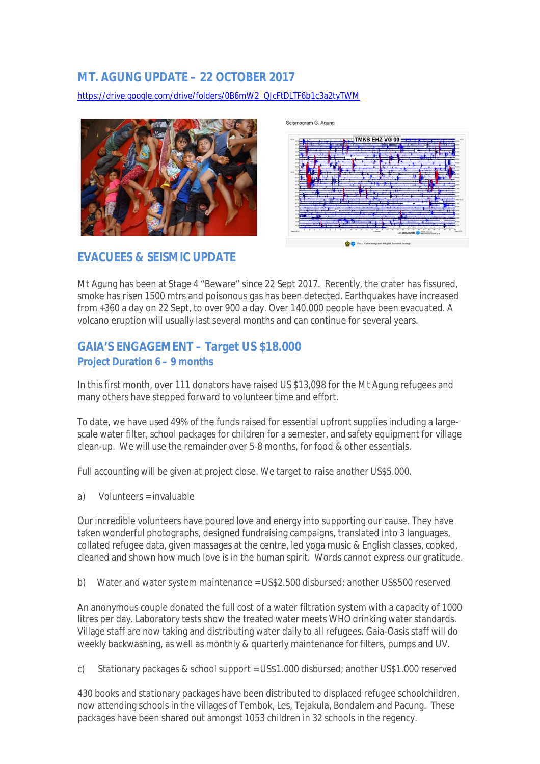# **MT. AGUNG UPDATE – 22 OCTOBER 2017**

https://drive.google.com/drive/folders/0B6mW2\_QJcFtDLTF6b1c3a2tyTWM





### **EVACUEES & SEISMIC UPDATE**

Mt Agung has been at Stage 4 "Beware" since 22 Sept 2017. Recently, the crater has fissured, smoke has risen 1500 mtrs and poisonous gas has been detected. Earthquakes have increased from +360 a day on 22 Sept, to over 900 a day. Over 140.000 people have been evacuated. A volcano eruption will usually last several months and can continue for several years.

### **GAIA'S ENGAGEMENT – Target US \$18.000 Project Duration 6 – 9 months**

In this first month, over 111 donators have raised US \$13,098 for the Mt Agung refugees and many others have stepped forward to volunteer time and effort.

To date, we have used 49% of the funds raised for essential upfront supplies including a largescale water filter, school packages for children for a semester, and safety equipment for village clean-up. We will use the remainder over 5-8 months, for food & other essentials.

Full accounting will be given at project close. We target to raise another US\$5.000.

a) Volunteers = invaluable

Our incredible volunteers have poured love and energy into supporting our cause. They have taken wonderful photographs, designed fundraising campaigns, translated into 3 languages, collated refugee data, given massages at the centre, led yoga music & English classes, cooked, cleaned and shown how much love is in the human spirit. Words cannot express our gratitude.

b) Water and water system maintenance = US\$2.500 disbursed; another US\$500 reserved

An anonymous couple donated the full cost of a water filtration system with a capacity of 1000 litres per day. Laboratory tests show the treated water meets WHO drinking water standards. Village staff are now taking and distributing water daily to all refugees. Gaia-Oasis staff will do weekly backwashing, as well as monthly & quarterly maintenance for filters, pumps and UV.

c) Stationary packages & school support = US\$1.000 disbursed; another US\$1.000 reserved

430 books and stationary packages have been distributed to displaced refugee schoolchildren, now attending schools in the villages of Tembok, Les, Tejakula, Bondalem and Pacung. These packages have been shared out amongst 1053 children in 32 schools in the regency.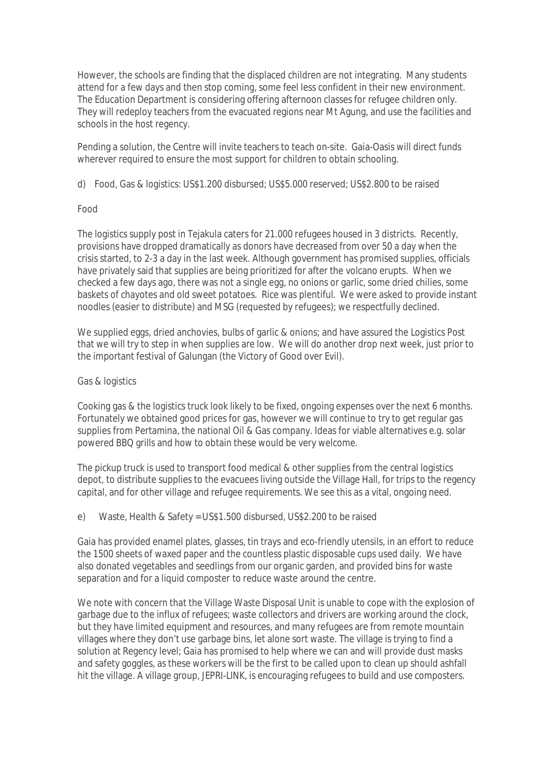However, the schools are finding that the displaced children are not integrating. Many students attend for a few days and then stop coming, some feel less confident in their new environment. The Education Department is considering offering afternoon classes for refugee children only. They will redeploy teachers from the evacuated regions near Mt Agung, and use the facilities and schools in the host regency.

Pending a solution, the Centre will invite teachers to teach on-site. Gaia-Oasis will direct funds wherever required to ensure the most support for children to obtain schooling.

d) Food, Gas & logistics: US\$1.200 disbursed; US\$5.000 reserved; US\$2.800 to be raised

#### Food

The logistics supply post in Tejakula caters for 21.000 refugees housed in 3 districts. Recently, provisions have dropped dramatically as donors have decreased from over 50 a day when the crisis started, to 2-3 a day in the last week. Although government has promised supplies, officials have privately said that supplies are being prioritized for after the volcano erupts. When we checked a few days ago, there was not a single egg, no onions or garlic, some dried chilies, some baskets of chayotes and old sweet potatoes. Rice was plentiful. We were asked to provide instant noodles (easier to distribute) and MSG (requested by refugees); we respectfully declined.

We supplied eggs, dried anchovies, bulbs of garlic & onions; and have assured the Logistics Post that we will try to step in when supplies are low. We will do another drop next week, just prior to the important festival of Galungan (the Victory of Good over Evil).

#### Gas & logistics

Cooking gas & the logistics truck look likely to be fixed, ongoing expenses over the next 6 months. Fortunately we obtained good prices for gas, however we will continue to try to get regular gas supplies from Pertamina, the national Oil & Gas company. Ideas for viable alternatives e.g. solar powered BBQ grills and how to obtain these would be very welcome.

The pickup truck is used to transport food medical & other supplies from the central logistics depot, to distribute supplies to the evacuees living outside the Village Hall, for trips to the regency capital, and for other village and refugee requirements. We see this as a vital, ongoing need.

e) Waste, Health & Safety = US\$1.500 disbursed, US\$2.200 to be raised

Gaia has provided enamel plates, glasses, tin trays and eco-friendly utensils, in an effort to reduce the 1500 sheets of waxed paper and the countless plastic disposable cups used daily. We have also donated vegetables and seedlings from our organic garden, and provided bins for waste separation and for a liquid composter to reduce waste around the centre.

We note with concern that the Village Waste Disposal Unit is unable to cope with the explosion of garbage due to the influx of refugees; waste collectors and drivers are working around the clock, but they have limited equipment and resources, and many refugees are from remote mountain villages where they don't use garbage bins, let alone sort waste. The village is trying to find a solution at Regency level; Gaia has promised to help where we can and will provide dust masks and safety goggles, as these workers will be the first to be called upon to clean up should ashfall hit the village. A village group, JEPRI-LINK, is encouraging refugees to build and use composters.